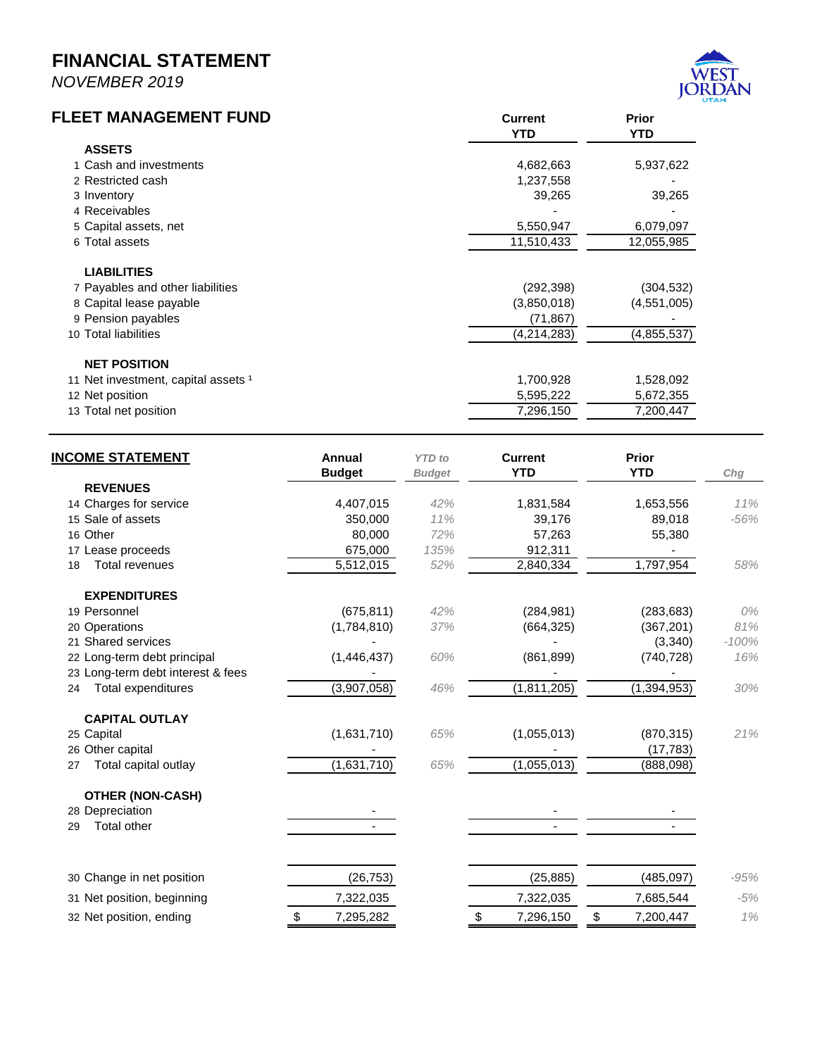## **FINANCIAL STATEMENT**

*NOVEMBER 2019*



| <b>FLEET MANAGEMENT FUND</b>        | <b>Current</b> | uı.<br><b>Prior</b> |
|-------------------------------------|----------------|---------------------|
|                                     | <b>YTD</b>     | <b>YTD</b>          |
| <b>ASSETS</b>                       |                |                     |
| 1 Cash and investments              | 4,682,663      | 5,937,622           |
| 2 Restricted cash                   | 1,237,558      |                     |
| 3 Inventory                         | 39,265         | 39,265              |
| 4 Receivables                       |                |                     |
| 5 Capital assets, net               | 5,550,947      | 6,079,097           |
| 6 Total assets                      | 11,510,433     | 12,055,985          |
| <b>LIABILITIES</b>                  |                |                     |
| 7 Payables and other liabilities    | (292, 398)     | (304, 532)          |
| 8 Capital lease payable             | (3,850,018)    | (4,551,005)         |
| 9 Pension payables                  | (71, 867)      |                     |
| 10 Total liabilities                | (4,214,283)    | (4,855,537)         |
| <b>NET POSITION</b>                 |                |                     |
| 11 Net investment, capital assets 1 | 1,700,928      | 1,528,092           |
| 12 Net position                     | 5,595,222      | 5,672,355           |
| 13 Total net position               | 7,296,150      | 7,200,447           |

| <b>REVENUES</b><br>14 Charges for service<br>4,407,015<br>42%<br>1,831,584<br>1,653,556<br>15 Sale of assets<br>350,000<br>11%<br>89,018<br>39,176<br>16 Other<br>80,000<br>72%<br>57,263<br>55,380<br>135%<br>17 Lease proceeds<br>675,000<br>912,311<br>1,797,954<br>5,512,015<br>52%<br>2,840,334<br><b>Total revenues</b><br>18<br><b>EXPENDITURES</b><br>(675, 811)<br>42%<br>19 Personnel<br>(284, 981)<br>(283, 683)<br>20 Operations<br>(1,784,810)<br>37%<br>(664, 325)<br>(367, 201)<br>21 Shared services<br>(3,340)<br>60%<br>(740, 728)<br>22 Long-term debt principal<br>(1,446,437)<br>(861, 899)<br>23 Long-term debt interest & fees<br>(3,907,058)<br>(1, 811, 205)<br>(1, 394, 953)<br><b>Total expenditures</b><br>46%<br>24<br><b>CAPITAL OUTLAY</b><br>(1,631,710)<br>65%<br>(1,055,013)<br>25 Capital<br>(870, 315)<br>26 Other capital<br>(17, 783)<br>(1,631,710)<br>65%<br>(1,055,013)<br>Total capital outlay<br>(888,098)<br>27<br><b>OTHER (NON-CASH)</b><br>28 Depreciation<br><b>Total other</b><br>29<br>30 Change in net position<br>(25, 885)<br>(485, 097)<br>(26, 753)<br>7,322,035<br>7,322,035<br>7,685,544<br>31 Net position, beginning<br>32 Net position, ending<br>7,295,282<br>7,296,150<br>\$<br>7,200,447 | <b>INCOME STATEMENT</b> | Annual<br><b>Budget</b> | <b>YTD</b> to<br><b>Budget</b> | <b>Current</b><br><b>YTD</b> | <b>Prior</b><br><b>YTD</b> | Chg     |
|---------------------------------------------------------------------------------------------------------------------------------------------------------------------------------------------------------------------------------------------------------------------------------------------------------------------------------------------------------------------------------------------------------------------------------------------------------------------------------------------------------------------------------------------------------------------------------------------------------------------------------------------------------------------------------------------------------------------------------------------------------------------------------------------------------------------------------------------------------------------------------------------------------------------------------------------------------------------------------------------------------------------------------------------------------------------------------------------------------------------------------------------------------------------------------------------------------------------------------------------------------|-------------------------|-------------------------|--------------------------------|------------------------------|----------------------------|---------|
|                                                                                                                                                                                                                                                                                                                                                                                                                                                                                                                                                                                                                                                                                                                                                                                                                                                                                                                                                                                                                                                                                                                                                                                                                                                         |                         |                         |                                |                              |                            |         |
|                                                                                                                                                                                                                                                                                                                                                                                                                                                                                                                                                                                                                                                                                                                                                                                                                                                                                                                                                                                                                                                                                                                                                                                                                                                         |                         |                         |                                |                              |                            | 11%     |
|                                                                                                                                                                                                                                                                                                                                                                                                                                                                                                                                                                                                                                                                                                                                                                                                                                                                                                                                                                                                                                                                                                                                                                                                                                                         |                         |                         |                                |                              |                            | $-56%$  |
|                                                                                                                                                                                                                                                                                                                                                                                                                                                                                                                                                                                                                                                                                                                                                                                                                                                                                                                                                                                                                                                                                                                                                                                                                                                         |                         |                         |                                |                              |                            |         |
|                                                                                                                                                                                                                                                                                                                                                                                                                                                                                                                                                                                                                                                                                                                                                                                                                                                                                                                                                                                                                                                                                                                                                                                                                                                         |                         |                         |                                |                              |                            |         |
|                                                                                                                                                                                                                                                                                                                                                                                                                                                                                                                                                                                                                                                                                                                                                                                                                                                                                                                                                                                                                                                                                                                                                                                                                                                         |                         |                         |                                |                              |                            | 58%     |
|                                                                                                                                                                                                                                                                                                                                                                                                                                                                                                                                                                                                                                                                                                                                                                                                                                                                                                                                                                                                                                                                                                                                                                                                                                                         |                         |                         |                                |                              |                            |         |
|                                                                                                                                                                                                                                                                                                                                                                                                                                                                                                                                                                                                                                                                                                                                                                                                                                                                                                                                                                                                                                                                                                                                                                                                                                                         |                         |                         |                                |                              |                            | 0%      |
|                                                                                                                                                                                                                                                                                                                                                                                                                                                                                                                                                                                                                                                                                                                                                                                                                                                                                                                                                                                                                                                                                                                                                                                                                                                         |                         |                         |                                |                              |                            | 81%     |
|                                                                                                                                                                                                                                                                                                                                                                                                                                                                                                                                                                                                                                                                                                                                                                                                                                                                                                                                                                                                                                                                                                                                                                                                                                                         |                         |                         |                                |                              |                            | $-100%$ |
|                                                                                                                                                                                                                                                                                                                                                                                                                                                                                                                                                                                                                                                                                                                                                                                                                                                                                                                                                                                                                                                                                                                                                                                                                                                         |                         |                         |                                |                              |                            | 16%     |
|                                                                                                                                                                                                                                                                                                                                                                                                                                                                                                                                                                                                                                                                                                                                                                                                                                                                                                                                                                                                                                                                                                                                                                                                                                                         |                         |                         |                                |                              |                            |         |
|                                                                                                                                                                                                                                                                                                                                                                                                                                                                                                                                                                                                                                                                                                                                                                                                                                                                                                                                                                                                                                                                                                                                                                                                                                                         |                         |                         |                                |                              |                            | 30%     |
|                                                                                                                                                                                                                                                                                                                                                                                                                                                                                                                                                                                                                                                                                                                                                                                                                                                                                                                                                                                                                                                                                                                                                                                                                                                         |                         |                         |                                |                              |                            |         |
|                                                                                                                                                                                                                                                                                                                                                                                                                                                                                                                                                                                                                                                                                                                                                                                                                                                                                                                                                                                                                                                                                                                                                                                                                                                         |                         |                         |                                |                              |                            | 21%     |
|                                                                                                                                                                                                                                                                                                                                                                                                                                                                                                                                                                                                                                                                                                                                                                                                                                                                                                                                                                                                                                                                                                                                                                                                                                                         |                         |                         |                                |                              |                            |         |
|                                                                                                                                                                                                                                                                                                                                                                                                                                                                                                                                                                                                                                                                                                                                                                                                                                                                                                                                                                                                                                                                                                                                                                                                                                                         |                         |                         |                                |                              |                            |         |
|                                                                                                                                                                                                                                                                                                                                                                                                                                                                                                                                                                                                                                                                                                                                                                                                                                                                                                                                                                                                                                                                                                                                                                                                                                                         |                         |                         |                                |                              |                            |         |
|                                                                                                                                                                                                                                                                                                                                                                                                                                                                                                                                                                                                                                                                                                                                                                                                                                                                                                                                                                                                                                                                                                                                                                                                                                                         |                         |                         |                                |                              |                            |         |
|                                                                                                                                                                                                                                                                                                                                                                                                                                                                                                                                                                                                                                                                                                                                                                                                                                                                                                                                                                                                                                                                                                                                                                                                                                                         |                         |                         |                                |                              |                            |         |
|                                                                                                                                                                                                                                                                                                                                                                                                                                                                                                                                                                                                                                                                                                                                                                                                                                                                                                                                                                                                                                                                                                                                                                                                                                                         |                         |                         |                                |                              |                            |         |
|                                                                                                                                                                                                                                                                                                                                                                                                                                                                                                                                                                                                                                                                                                                                                                                                                                                                                                                                                                                                                                                                                                                                                                                                                                                         |                         |                         |                                |                              |                            | $-95%$  |
|                                                                                                                                                                                                                                                                                                                                                                                                                                                                                                                                                                                                                                                                                                                                                                                                                                                                                                                                                                                                                                                                                                                                                                                                                                                         |                         |                         |                                |                              |                            | $-5%$   |
|                                                                                                                                                                                                                                                                                                                                                                                                                                                                                                                                                                                                                                                                                                                                                                                                                                                                                                                                                                                                                                                                                                                                                                                                                                                         |                         |                         |                                |                              |                            | 1%      |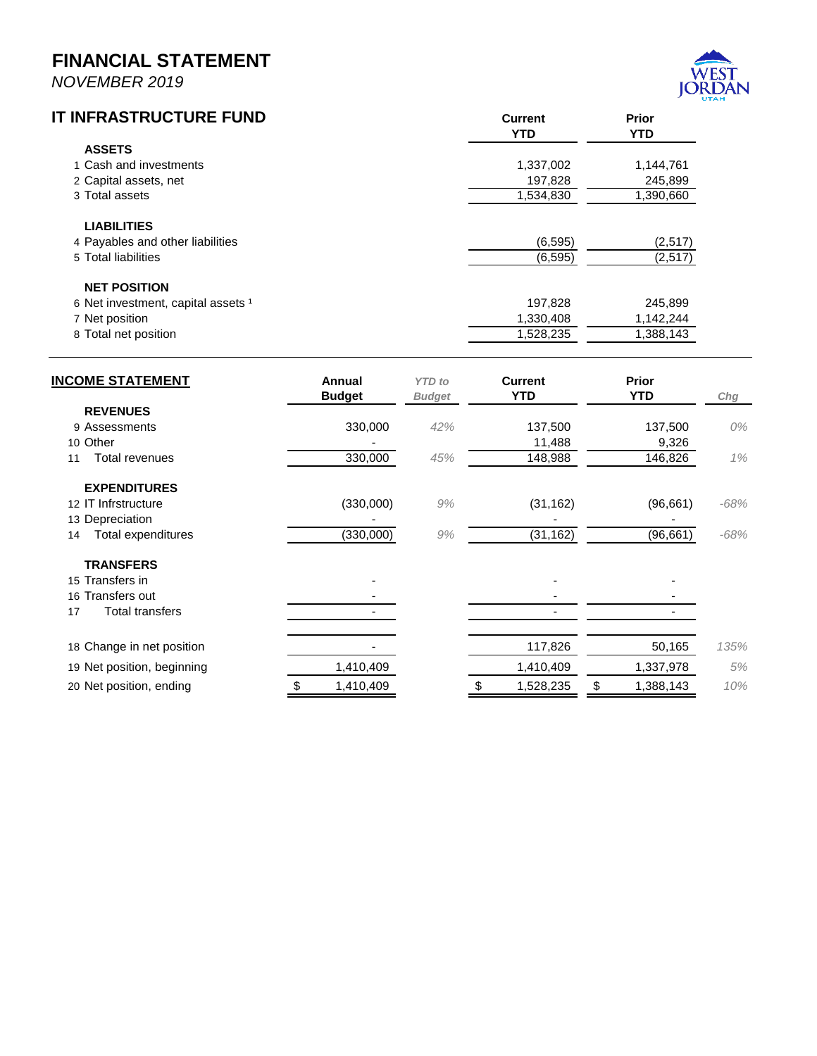## **FINANCIAL STATEMENT**

*NOVEMBER 2019*



| IT INFRASTRUCTURE FUND             | <b>Current</b><br><b>YTD</b> | <b>Prior</b><br><b>YTD</b> |  |
|------------------------------------|------------------------------|----------------------------|--|
| <b>ASSETS</b>                      |                              |                            |  |
| 1 Cash and investments             | 1,337,002                    | 1,144,761                  |  |
| 2 Capital assets, net              | 197,828                      | 245,899                    |  |
| 3 Total assets                     | 1,534,830                    | 1,390,660                  |  |
| <b>LIABILITIES</b>                 |                              |                            |  |
| 4 Payables and other liabilities   | (6, 595)                     | (2,517)                    |  |
| 5 Total liabilities                | (6, 595)                     | (2,517)                    |  |
| <b>NET POSITION</b>                |                              |                            |  |
| 6 Net investment, capital assets 1 | 197,828                      | 245,899                    |  |
| 7 Net position                     | 1,330,408                    | 1,142,244                  |  |
| 8 Total net position               | 1,528,235                    | 1,388,143                  |  |

| <b>INCOME STATEMENT</b>      | Annual<br><b>Budget</b> | <b>YTD</b> to<br><b>Budget</b> | <b>Current</b><br><b>YTD</b> | <b>Prior</b><br><b>YTD</b> | Chg    |
|------------------------------|-------------------------|--------------------------------|------------------------------|----------------------------|--------|
| <b>REVENUES</b>              |                         |                                |                              |                            |        |
| 9 Assessments                | 330,000                 | 42%                            | 137,500                      | 137,500                    | 0%     |
| 10 Other                     |                         |                                | 11,488                       | 9,326                      |        |
| Total revenues<br>11         | 330,000                 | 45%                            | 148,988                      | 146,826                    | 1%     |
| <b>EXPENDITURES</b>          |                         |                                |                              |                            |        |
| 12 IT Infrstructure          | (330,000)               | 9%                             | (31, 162)                    | (96, 661)                  | $-68%$ |
| 13 Depreciation              |                         |                                |                              |                            |        |
| Total expenditures<br>14     | (330,000)               | 9%                             | (31, 162)                    | (96, 661)                  | $-68%$ |
| <b>TRANSFERS</b>             |                         |                                |                              |                            |        |
| 15 Transfers in              |                         |                                |                              |                            |        |
| 16 Transfers out             |                         |                                |                              |                            |        |
| <b>Total transfers</b><br>17 |                         |                                |                              |                            |        |
| 18 Change in net position    |                         |                                | 117,826                      | 50,165                     | 135%   |
| 19 Net position, beginning   | 1,410,409               |                                | 1,410,409                    | 1,337,978                  | 5%     |
| 20 Net position, ending      | 1,410,409<br>\$         |                                | 1,528,235                    | \$<br>1,388,143            | 10%    |